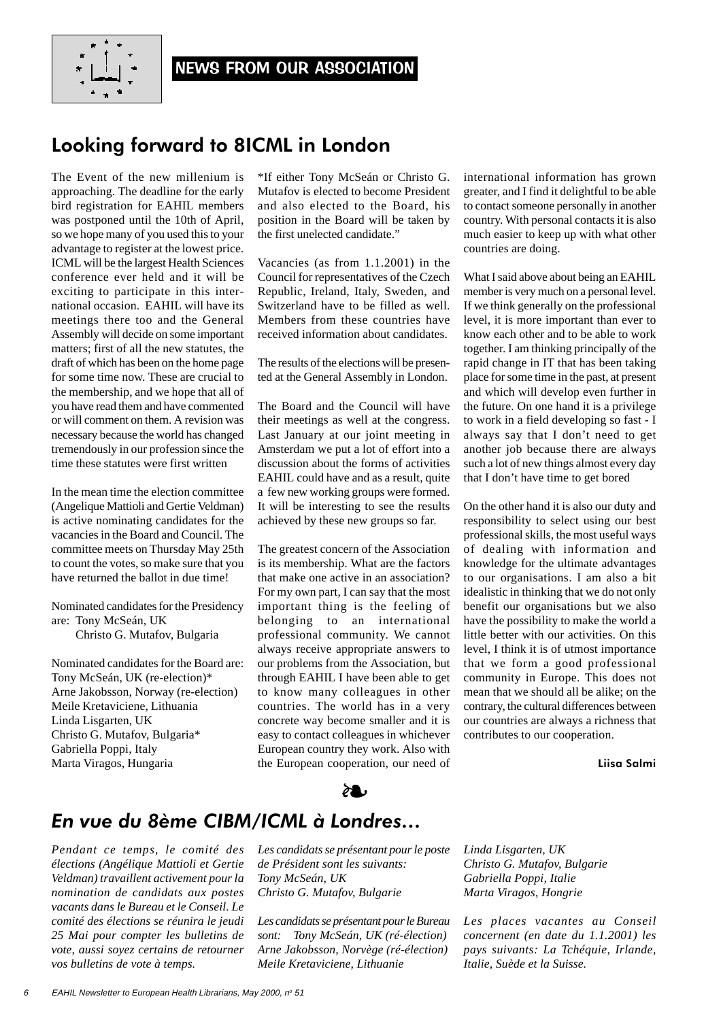

## Looking forward to 8ICML in London

The Event of the new millenium is approaching. The deadline for the early bird registration for EAHIL members was postponed until the 10th of April, so we hope many of you used this to your advantage to register at the lowest price. ICML will be the largest Health Sciences conference ever held and it will be exciting to participate in this international occasion. EAHIL will have its meetings there too and the General Assembly will decide on some important matters; first of all the new statutes, the draft of which has been on the home page for some time now. These are crucial to the membership, and we hope that all of you have read them and have commented or will comment on them. A revision was necessary because the world has changed tremendously in our profession since the time these statutes were first written

In the mean time the election committee (Angelique Mattioli and Gertie Veldman) is active nominating candidates for the vacancies in the Board and Council. The committee meets on Thursday May 25th to count the votes, so make sure that you have returned the ballot in due time!

Nominated candidates for the Presidency are: Tony McSeán, UK Christo G. Mutafov, Bulgaria

Nominated candidates for the Board are: Tony McSeán, UK (re-election)\* Arne Jakobsson, Norway (re-election) Meile Kretaviciene, Lithuania Linda Lisgarten, UK Christo G. Mutafov, Bulgaria\* Gabriella Poppi, Italy Marta Viragos, Hungaria

\*If either Tony McSeán or Christo G. Mutafov is elected to become President and also elected to the Board, his position in the Board will be taken by the first unelected candidate."

Vacancies (as from 1.1.2001) in the Council for representatives of the Czech Republic, Ireland, Italy, Sweden, and Switzerland have to be filled as well. Members from these countries have received information about candidates.

The results of the elections will be presented at the General Assembly in London.

The Board and the Council will have their meetings as well at the congress. Last January at our joint meeting in Amsterdam we put a lot of effort into a discussion about the forms of activities EAHIL could have and as a result, quite a few new working groups were formed. It will be interesting to see the results achieved by these new groups so far.

The greatest concern of the Association is its membership. What are the factors that make one active in an association? For my own part, I can say that the most important thing is the feeling of belonging to an international professional community. We cannot always receive appropriate answers to our problems from the Association, but through EAHIL I have been able to get to know many colleagues in other countries. The world has in a very concrete way become smaller and it is easy to contact colleagues in whichever European country they work. Also with the European cooperation, our need of

international information has grown greater, and I find it delightful to be able to contact someone personally in another country. With personal contacts it is also much easier to keep up with what other countries are doing.

What I said above about being an EAHIL member is very much on a personal level. If we think generally on the professional level, it is more important than ever to know each other and to be able to work together. I am thinking principally of the rapid change in IT that has been taking place for some time in the past, at present and which will develop even further in the future. On one hand it is a privilege to work in a field developing so fast - I always say that I don't need to get another job because there are always such a lot of new things almost every day that I don't have time to get bored

On the other hand it is also our duty and responsibility to select using our best professional skills, the most useful ways of dealing with information and knowledge for the ultimate advantages to our organisations. I am also a bit idealistic in thinking that we do not only benefit our organisations but we also have the possibility to make the world a little better with our activities. On this level, I think it is of utmost importance that we form a good professional community in Europe. This does not mean that we should all be alike; on the contrary, the cultural differences between our countries are always a richness that contributes to our cooperation.

Liisa Salmi

# *En vue du 8ème CIBM/ICML à Londres…* ❧

*Pendant ce temps, le comité des élections (Angélique Mattioli et Gertie Veldman) travaillent activement pour la nomination de candidats aux postes vacants dans le Bureau et le Conseil. Le comité des élections se réunira le jeudi 25 Mai pour compter les bulletins de vote, aussi soyez certains de retourner vos bulletins de vote à temps.*

*Les candidats se présentant pour le poste de Président sont les suivants: Tony McSeán, UK Christo G. Mutafov, Bulgarie*

*Les candidats se présentant pour le Bureau sont: Tony McSeán, UK (ré-élection) Arne Jakobsson, Norvège (ré-élection) Meile Kretaviciene, Lithuanie*

*Linda Lisgarten, UK Christo G. Mutafov, Bulgarie Gabriella Poppi, Italie Marta Viragos, Hongrie*

*Les places vacantes au Conseil concernent (en date du 1.1.2001) les pays suivants: La Tchéquie, Irlande, Italie, Suède et la Suisse.*